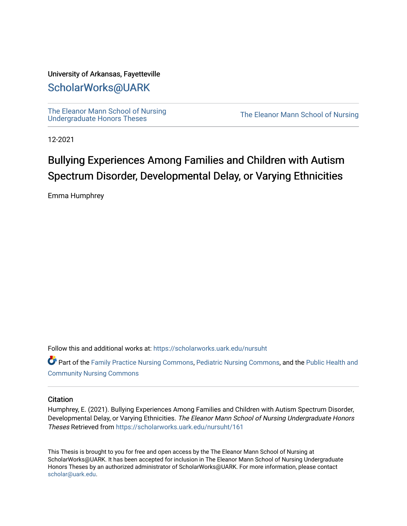# University of Arkansas, Fayetteville

# [ScholarWorks@UARK](https://scholarworks.uark.edu/)

[The Eleanor Mann School of Nursing](https://scholarworks.uark.edu/nursuht)<br>Undergraduate Honors Theses

The Eleanor Mann School of Nursing

12-2021

# Bullying Experiences Among Families and Children with Autism Spectrum Disorder, Developmental Delay, or Varying Ethnicities

Emma Humphrey

Follow this and additional works at: [https://scholarworks.uark.edu/nursuht](https://scholarworks.uark.edu/nursuht?utm_source=scholarworks.uark.edu%2Fnursuht%2F161&utm_medium=PDF&utm_campaign=PDFCoverPages)

Part of the [Family Practice Nursing Commons](http://network.bepress.com/hgg/discipline/720?utm_source=scholarworks.uark.edu%2Fnursuht%2F161&utm_medium=PDF&utm_campaign=PDFCoverPages), [Pediatric Nursing Commons,](http://network.bepress.com/hgg/discipline/723?utm_source=scholarworks.uark.edu%2Fnursuht%2F161&utm_medium=PDF&utm_campaign=PDFCoverPages) and the [Public Health and](http://network.bepress.com/hgg/discipline/725?utm_source=scholarworks.uark.edu%2Fnursuht%2F161&utm_medium=PDF&utm_campaign=PDFCoverPages)  [Community Nursing Commons](http://network.bepress.com/hgg/discipline/725?utm_source=scholarworks.uark.edu%2Fnursuht%2F161&utm_medium=PDF&utm_campaign=PDFCoverPages) 

# **Citation**

Humphrey, E. (2021). Bullying Experiences Among Families and Children with Autism Spectrum Disorder, Developmental Delay, or Varying Ethnicities. The Eleanor Mann School of Nursing Undergraduate Honors Theses Retrieved from [https://scholarworks.uark.edu/nursuht/161](https://scholarworks.uark.edu/nursuht/161?utm_source=scholarworks.uark.edu%2Fnursuht%2F161&utm_medium=PDF&utm_campaign=PDFCoverPages) 

This Thesis is brought to you for free and open access by the The Eleanor Mann School of Nursing at ScholarWorks@UARK. It has been accepted for inclusion in The Eleanor Mann School of Nursing Undergraduate Honors Theses by an authorized administrator of ScholarWorks@UARK. For more information, please contact [scholar@uark.edu](mailto:scholar@uark.edu).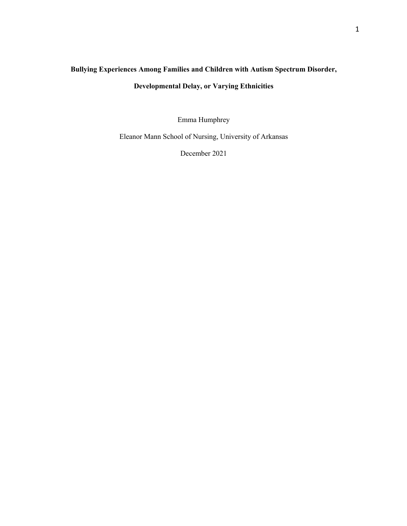# **Bullying Experiences Among Families and Children with Autism Spectrum Disorder, Developmental Delay, or Varying Ethnicities**

Emma Humphrey

Eleanor Mann School of Nursing, University of Arkansas

December 2021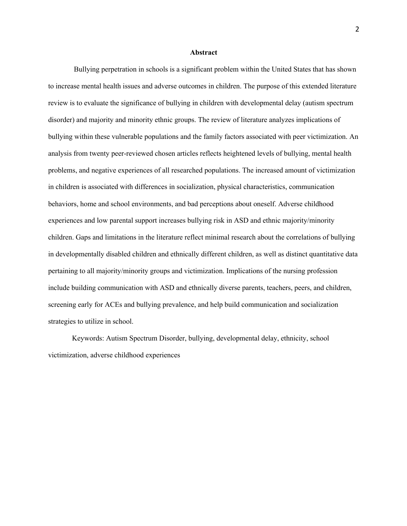#### **Abstract**

Bullying perpetration in schools is a significant problem within the United States that has shown to increase mental health issues and adverse outcomes in children. The purpose of this extended literature review is to evaluate the significance of bullying in children with developmental delay (autism spectrum disorder) and majority and minority ethnic groups. The review of literature analyzes implications of bullying within these vulnerable populations and the family factors associated with peer victimization. An analysis from twenty peer-reviewed chosen articles reflects heightened levels of bullying, mental health problems, and negative experiences of all researched populations. The increased amount of victimization in children is associated with differences in socialization, physical characteristics, communication behaviors, home and school environments, and bad perceptions about oneself. Adverse childhood experiences and low parental support increases bullying risk in ASD and ethnic majority/minority children. Gaps and limitations in the literature reflect minimal research about the correlations of bullying in developmentally disabled children and ethnically different children, as well as distinct quantitative data pertaining to all majority/minority groups and victimization. Implications of the nursing profession include building communication with ASD and ethnically diverse parents, teachers, peers, and children, screening early for ACEs and bullying prevalence, and help build communication and socialization strategies to utilize in school.

Keywords: Autism Spectrum Disorder, bullying, developmental delay, ethnicity, school victimization, adverse childhood experiences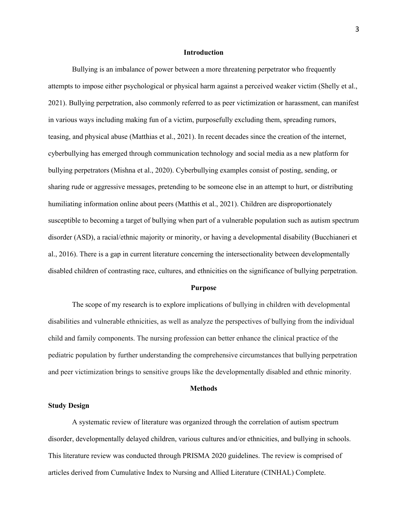#### **Introduction**

Bullying is an imbalance of power between a more threatening perpetrator who frequently attempts to impose either psychological or physical harm against a perceived weaker victim (Shelly et al., 2021). Bullying perpetration, also commonly referred to as peer victimization or harassment, can manifest in various ways including making fun of a victim, purposefully excluding them, spreading rumors, teasing, and physical abuse (Matthias et al., 2021). In recent decades since the creation of the internet, cyberbullying has emerged through communication technology and social media as a new platform for bullying perpetrators (Mishna et al., 2020). Cyberbullying examples consist of posting, sending, or sharing rude or aggressive messages, pretending to be someone else in an attempt to hurt, or distributing humiliating information online about peers (Matthis et al., 2021). Children are disproportionately susceptible to becoming a target of bullying when part of a vulnerable population such as autism spectrum disorder (ASD), a racial/ethnic majority or minority, or having a developmental disability (Bucchianeri et al., 2016). There is a gap in current literature concerning the intersectionality between developmentally disabled children of contrasting race, cultures, and ethnicities on the significance of bullying perpetration.

#### **Purpose**

The scope of my research is to explore implications of bullying in children with developmental disabilities and vulnerable ethnicities, as well as analyze the perspectives of bullying from the individual child and family components. The nursing profession can better enhance the clinical practice of the pediatric population by further understanding the comprehensive circumstances that bullying perpetration and peer victimization brings to sensitive groups like the developmentally disabled and ethnic minority.

### **Methods**

#### **Study Design**

A systematic review of literature was organized through the correlation of autism spectrum disorder, developmentally delayed children, various cultures and/or ethnicities, and bullying in schools. This literature review was conducted through PRISMA 2020 guidelines. The review is comprised of articles derived from Cumulative Index to Nursing and Allied Literature (CINHAL) Complete.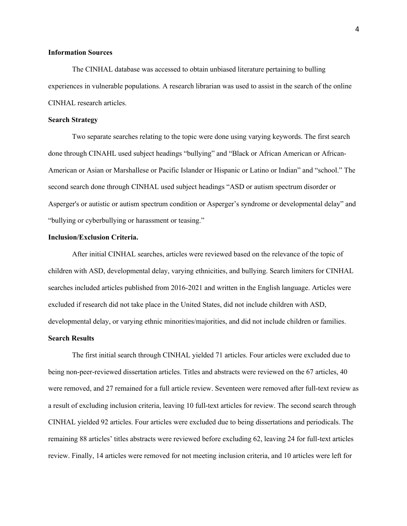# **Information Sources**

The CINHAL database was accessed to obtain unbiased literature pertaining to bulling experiences in vulnerable populations. A research librarian was used to assist in the search of the online CINHAL research articles.

# **Search Strategy**

Two separate searches relating to the topic were done using varying keywords. The first search done through CINAHL used subject headings "bullying" and "Black or African American or African-American or Asian or Marshallese or Pacific Islander or Hispanic or Latino or Indian" and "school." The second search done through CINHAL used subject headings "ASD or autism spectrum disorder or Asperger's or autistic or autism spectrum condition or Asperger's syndrome or developmental delay" and "bullying or cyberbullying or harassment or teasing."

# **Inclusion/Exclusion Criteria.**

After initial CINHAL searches, articles were reviewed based on the relevance of the topic of children with ASD, developmental delay, varying ethnicities, and bullying. Search limiters for CINHAL searches included articles published from 2016-2021 and written in the English language. Articles were excluded if research did not take place in the United States, did not include children with ASD, developmental delay, or varying ethnic minorities/majorities, and did not include children or families.

# **Search Results**

The first initial search through CINHAL yielded 71 articles. Four articles were excluded due to being non-peer-reviewed dissertation articles. Titles and abstracts were reviewed on the 67 articles, 40 were removed, and 27 remained for a full article review. Seventeen were removed after full-text review as a result of excluding inclusion criteria, leaving 10 full-text articles for review. The second search through CINHAL yielded 92 articles. Four articles were excluded due to being dissertations and periodicals. The remaining 88 articles' titles abstracts were reviewed before excluding 62, leaving 24 for full-text articles review. Finally, 14 articles were removed for not meeting inclusion criteria, and 10 articles were left for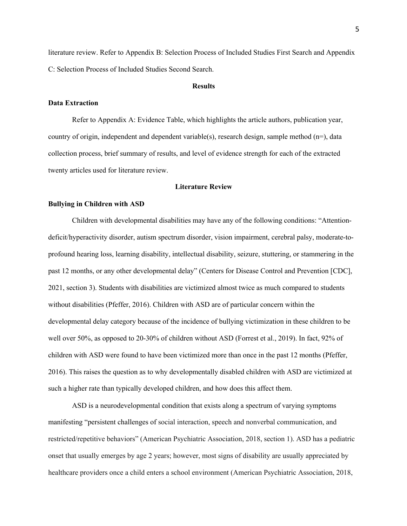literature review. Refer to Appendix B: Selection Process of Included Studies First Search and Appendix C: Selection Process of Included Studies Second Search.

# **Results**

### **Data Extraction**

Refer to Appendix A: Evidence Table, which highlights the article authors, publication year, country of origin, independent and dependent variable(s), research design, sample method  $(n=)$ , data collection process, brief summary of results, and level of evidence strength for each of the extracted twenty articles used for literature review.

# **Literature Review**

#### **Bullying in Children with ASD**

Children with developmental disabilities may have any of the following conditions: "Attentiondeficit/hyperactivity disorder, autism spectrum disorder, vision impairment, cerebral palsy, moderate-toprofound hearing loss, learning disability, intellectual disability, seizure, stuttering, or stammering in the past 12 months, or any other developmental delay" (Centers for Disease Control and Prevention [CDC], 2021, section 3). Students with disabilities are victimized almost twice as much compared to students without disabilities (Pfeffer, 2016). Children with ASD are of particular concern within the developmental delay category because of the incidence of bullying victimization in these children to be well over 50%, as opposed to 20-30% of children without ASD (Forrest et al., 2019). In fact, 92% of children with ASD were found to have been victimized more than once in the past 12 months (Pfeffer, 2016). This raises the question as to why developmentally disabled children with ASD are victimized at such a higher rate than typically developed children, and how does this affect them.

ASD is a neurodevelopmental condition that exists along a spectrum of varying symptoms manifesting "persistent challenges of social interaction, speech and nonverbal communication, and restricted/repetitive behaviors" (American Psychiatric Association, 2018, section 1). ASD has a pediatric onset that usually emerges by age 2 years; however, most signs of disability are usually appreciated by healthcare providers once a child enters a school environment (American Psychiatric Association, 2018,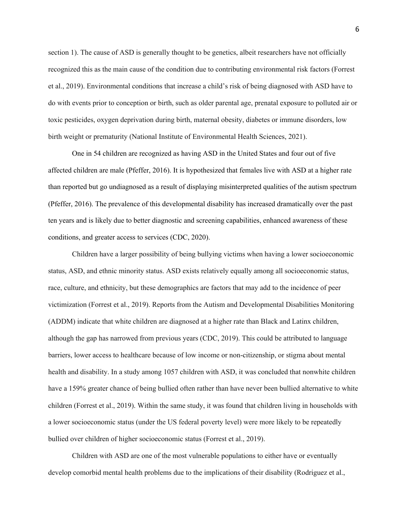section 1). The cause of ASD is generally thought to be genetics, albeit researchers have not officially recognized this as the main cause of the condition due to contributing environmental risk factors (Forrest et al., 2019). Environmental conditions that increase a child's risk of being diagnosed with ASD have to do with events prior to conception or birth, such as older parental age, prenatal exposure to polluted air or toxic pesticides, oxygen deprivation during birth, maternal obesity, diabetes or immune disorders, low birth weight or prematurity (National Institute of Environmental Health Sciences, 2021).

One in 54 children are recognized as having ASD in the United States and four out of five affected children are male (Pfeffer, 2016). It is hypothesized that females live with ASD at a higher rate than reported but go undiagnosed as a result of displaying misinterpreted qualities of the autism spectrum (Pfeffer, 2016). The prevalence of this developmental disability has increased dramatically over the past ten years and is likely due to better diagnostic and screening capabilities, enhanced awareness of these conditions, and greater access to services (CDC, 2020).

Children have a larger possibility of being bullying victims when having a lower socioeconomic status, ASD, and ethnic minority status. ASD exists relatively equally among all socioeconomic status, race, culture, and ethnicity, but these demographics are factors that may add to the incidence of peer victimization (Forrest et al., 2019). Reports from the Autism and Developmental Disabilities Monitoring (ADDM) indicate that white children are diagnosed at a higher rate than Black and Latinx children, although the gap has narrowed from previous years (CDC, 2019). This could be attributed to language barriers, lower access to healthcare because of low income or non-citizenship, or stigma about mental health and disability. In a study among 1057 children with ASD, it was concluded that nonwhite children have a 159% greater chance of being bullied often rather than have never been bullied alternative to white children (Forrest et al., 2019). Within the same study, it was found that children living in households with a lower socioeconomic status (under the US federal poverty level) were more likely to be repeatedly bullied over children of higher socioeconomic status (Forrest et al., 2019).

Children with ASD are one of the most vulnerable populations to either have or eventually develop comorbid mental health problems due to the implications of their disability (Rodriguez et al.,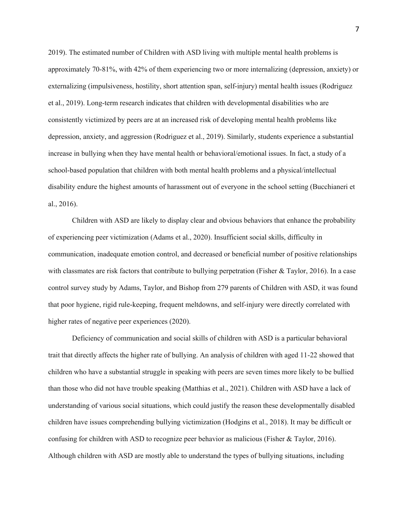2019). The estimated number of Children with ASD living with multiple mental health problems is approximately 70-81%, with 42% of them experiencing two or more internalizing (depression, anxiety) or externalizing (impulsiveness, hostility, short attention span, self-injury) mental health issues (Rodriguez et al., 2019). Long-term research indicates that children with developmental disabilities who are consistently victimized by peers are at an increased risk of developing mental health problems like depression, anxiety, and aggression (Rodriguez et al., 2019). Similarly, students experience a substantial increase in bullying when they have mental health or behavioral/emotional issues. In fact, a study of a school-based population that children with both mental health problems and a physical/intellectual disability endure the highest amounts of harassment out of everyone in the school setting (Bucchianeri et al., 2016).

Children with ASD are likely to display clear and obvious behaviors that enhance the probability of experiencing peer victimization (Adams et al., 2020). Insufficient social skills, difficulty in communication, inadequate emotion control, and decreased or beneficial number of positive relationships with classmates are risk factors that contribute to bullying perpetration (Fisher & Taylor, 2016). In a case control survey study by Adams, Taylor, and Bishop from 279 parents of Children with ASD, it was found that poor hygiene, rigid rule-keeping, frequent meltdowns, and self-injury were directly correlated with higher rates of negative peer experiences (2020).

Deficiency of communication and social skills of children with ASD is a particular behavioral trait that directly affects the higher rate of bullying. An analysis of children with aged 11-22 showed that children who have a substantial struggle in speaking with peers are seven times more likely to be bullied than those who did not have trouble speaking (Matthias et al., 2021). Children with ASD have a lack of understanding of various social situations, which could justify the reason these developmentally disabled children have issues comprehending bullying victimization (Hodgins et al., 2018). It may be difficult or confusing for children with ASD to recognize peer behavior as malicious (Fisher & Taylor, 2016). Although children with ASD are mostly able to understand the types of bullying situations, including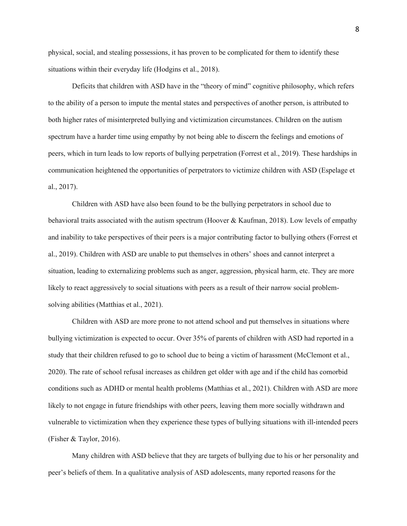physical, social, and stealing possessions, it has proven to be complicated for them to identify these situations within their everyday life (Hodgins et al., 2018).

Deficits that children with ASD have in the "theory of mind" cognitive philosophy, which refers to the ability of a person to impute the mental states and perspectives of another person, is attributed to both higher rates of misinterpreted bullying and victimization circumstances. Children on the autism spectrum have a harder time using empathy by not being able to discern the feelings and emotions of peers, which in turn leads to low reports of bullying perpetration (Forrest et al., 2019). These hardships in communication heightened the opportunities of perpetrators to victimize children with ASD (Espelage et al., 2017).

Children with ASD have also been found to be the bullying perpetrators in school due to behavioral traits associated with the autism spectrum (Hoover & Kaufman, 2018). Low levels of empathy and inability to take perspectives of their peers is a major contributing factor to bullying others (Forrest et al., 2019). Children with ASD are unable to put themselves in others' shoes and cannot interpret a situation, leading to externalizing problems such as anger, aggression, physical harm, etc. They are more likely to react aggressively to social situations with peers as a result of their narrow social problemsolving abilities (Matthias et al., 2021).

Children with ASD are more prone to not attend school and put themselves in situations where bullying victimization is expected to occur. Over 35% of parents of children with ASD had reported in a study that their children refused to go to school due to being a victim of harassment (McClemont et al., 2020). The rate of school refusal increases as children get older with age and if the child has comorbid conditions such as ADHD or mental health problems (Matthias et al., 2021). Children with ASD are more likely to not engage in future friendships with other peers, leaving them more socially withdrawn and vulnerable to victimization when they experience these types of bullying situations with ill-intended peers (Fisher & Taylor, 2016).

Many children with ASD believe that they are targets of bullying due to his or her personality and peer's beliefs of them. In a qualitative analysis of ASD adolescents, many reported reasons for the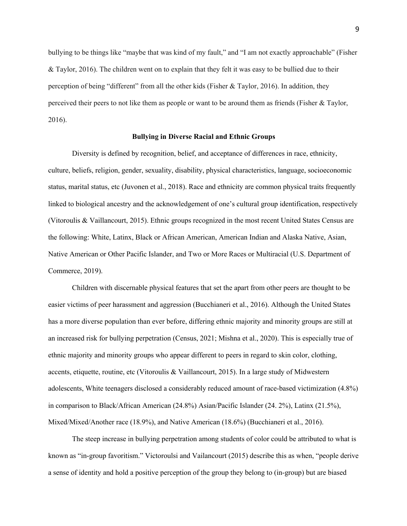bullying to be things like "maybe that was kind of my fault," and "I am not exactly approachable" (Fisher & Taylor, 2016). The children went on to explain that they felt it was easy to be bullied due to their perception of being "different" from all the other kids (Fisher & Taylor, 2016). In addition, they perceived their peers to not like them as people or want to be around them as friends (Fisher & Taylor, 2016).

### **Bullying in Diverse Racial and Ethnic Groups**

Diversity is defined by recognition, belief, and acceptance of differences in race, ethnicity, culture, beliefs, religion, gender, sexuality, disability, physical characteristics, language, socioeconomic status, marital status, etc (Juvonen et al., 2018). Race and ethnicity are common physical traits frequently linked to biological ancestry and the acknowledgement of one's cultural group identification, respectively (Vitoroulis & Vaillancourt, 2015). Ethnic groups recognized in the most recent United States Census are the following: White, Latinx, Black or African American, American Indian and Alaska Native, Asian, Native American or Other Pacific Islander, and Two or More Races or Multiracial (U.S. Department of Commerce, 2019).

Children with discernable physical features that set the apart from other peers are thought to be easier victims of peer harassment and aggression (Bucchianeri et al., 2016). Although the United States has a more diverse population than ever before, differing ethnic majority and minority groups are still at an increased risk for bullying perpetration (Census, 2021; Mishna et al., 2020). This is especially true of ethnic majority and minority groups who appear different to peers in regard to skin color, clothing, accents, etiquette, routine, etc (Vitoroulis & Vaillancourt, 2015). In a large study of Midwestern adolescents, White teenagers disclosed a considerably reduced amount of race-based victimization (4.8%) in comparison to Black/African American (24.8%) Asian/Pacific Islander (24. 2%), Latinx (21.5%), Mixed/Mixed/Another race (18.9%), and Native American (18.6%) (Bucchianeri et al., 2016).

The steep increase in bullying perpetration among students of color could be attributed to what is known as "in-group favoritism." Victoroulsi and Vailancourt (2015) describe this as when, "people derive a sense of identity and hold a positive perception of the group they belong to (in-group) but are biased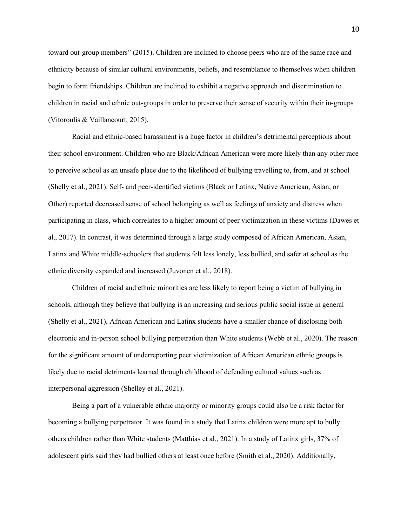toward out-group members" (2015). Children are inclined to choose peers who are of the same race and ethnicity because of similar cultural environments, beliefs, and resemblance to themselves when children begin to form friendships. Children are inclined to exhibit a negative approach and discrimination to children in racial and ethnic out-groups in order to preserve their sense of security within their in-groups (Vitoroulis & Vaillancourt, 2015).

Racial and ethnic-based harassment is a huge factor in children's detrimental perceptions about their school environment. Children who are Black/African American were more likely than any other race to perceive school as an unsafe place due to the likelihood of bullying travelling to, from, and at school (Shelly et al., 2021). Self- and peer-identified victims (Black or Latinx, Native American, Asian, or Other) reported decreased sense of school belonging as well as feelings of anxiety and distress when participating in class, which correlates to a higher amount of peer victimization in these victims (Dawes et al., 2017). In contrast, it was determined through a large study composed of African American, Asian, Latinx and White middle-schoolers that students felt less lonely, less bullied, and safer at school as the ethnic diversity expanded and increased (Juvonen et al., 2018).

Children of racial and ethnic minorities are less likely to report being a victim of bullying in schools, although they believe that bullying is an increasing and serious public social issue in general (Shelly et al., 2021), African American and Latinx students have a smaller chance of disclosing both electronic and in-person school bullying perpetration than White students (Webb et al., 2020). The reason for the significant amount of underreporting peer victimization of African American ethnic groups is likely due to racial detriments learned through childhood of defending cultural values such as interpersonal aggression (Shelley et al., 2021).

Being a part of a vulnerable ethnic majority or minority groups could also be a risk factor for becoming a bullying perpetrator. It was found in a study that Latinx children were more apt to bully others children rather than White students (Matthias et al., 2021). In a study of Latinx girls, 37% of adolescent girls said they had bullied others at least once before (Smith et al., 2020). Additionally,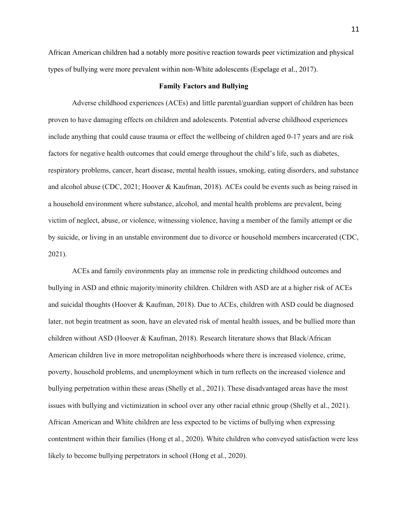African American children had a notably more positive reaction towards peer victimization and physical types of bullying were more prevalent within non-White adolescents (Espelage et al., 2017).

#### **Family Factors and Bullying**

Adverse childhood experiences (ACEs) and little parental/guardian support of children has been proven to have damaging effects on children and adolescents. Potential adverse childhood experiences include anything that could cause trauma or effect the wellbeing of children aged 0-17 years and are risk factors for negative health outcomes that could emerge throughout the child's life, such as diabetes, respiratory problems, cancer, heart disease, mental health issues, smoking, eating disorders, and substance and alcohol abuse (CDC, 2021; Hoover & Kaufman, 2018). ACEs could be events such as being raised in a household environment where substance, alcohol, and mental health problems are prevalent, being victim of neglect, abuse, or violence, witnessing violence, having a member of the family attempt or die by suicide, or living in an unstable environment due to divorce or household members incarcerated (CDC, 2021).

ACEs and family environments play an immense role in predicting childhood outcomes and bullying in ASD and ethnic majority/minority children. Children with ASD are at a higher risk of ACEs and suicidal thoughts (Hoover & Kaufman, 2018). Due to ACEs, children with ASD could be diagnosed later, not begin treatment as soon, have an elevated risk of mental health issues, and be bullied more than children without ASD (Hoover & Kaufman, 2018). Research literature shows that Black/African American children live in more metropolitan neighborhoods where there is increased violence, crime, poverty, household problems, and unemployment which in turn reflects on the increased violence and bullying perpetration within these areas (Shelly et al., 2021). These disadvantaged areas have the most issues with bullying and victimization in school over any other racial ethnic group (Shelly et al., 2021). African American and White children are less expected to be victims of bullying when expressing contentment within their families (Hong et al., 2020). White children who conveyed satisfaction were less likely to become bullying perpetrators in school (Hong et al., 2020).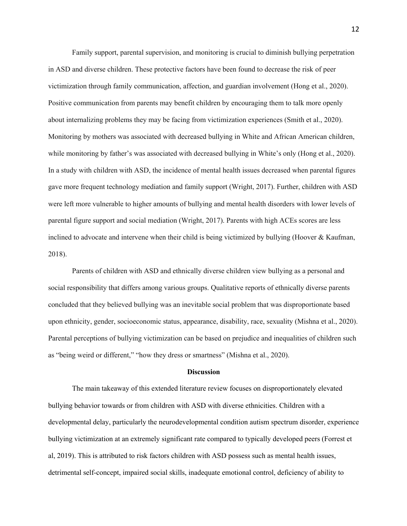Family support, parental supervision, and monitoring is crucial to diminish bullying perpetration in ASD and diverse children. These protective factors have been found to decrease the risk of peer victimization through family communication, affection, and guardian involvement (Hong et al., 2020). Positive communication from parents may benefit children by encouraging them to talk more openly about internalizing problems they may be facing from victimization experiences (Smith et al., 2020). Monitoring by mothers was associated with decreased bullying in White and African American children, while monitoring by father's was associated with decreased bullying in White's only (Hong et al., 2020). In a study with children with ASD, the incidence of mental health issues decreased when parental figures gave more frequent technology mediation and family support (Wright, 2017). Further, children with ASD were left more vulnerable to higher amounts of bullying and mental health disorders with lower levels of parental figure support and social mediation (Wright, 2017). Parents with high ACEs scores are less inclined to advocate and intervene when their child is being victimized by bullying (Hoover & Kaufman, 2018).

Parents of children with ASD and ethnically diverse children view bullying as a personal and social responsibility that differs among various groups. Qualitative reports of ethnically diverse parents concluded that they believed bullying was an inevitable social problem that was disproportionate based upon ethnicity, gender, socioeconomic status, appearance, disability, race, sexuality (Mishna et al., 2020). Parental perceptions of bullying victimization can be based on prejudice and inequalities of children such as "being weird or different," "how they dress or smartness" (Mishna et al., 2020).

#### **Discussion**

The main takeaway of this extended literature review focuses on disproportionately elevated bullying behavior towards or from children with ASD with diverse ethnicities. Children with a developmental delay, particularly the neurodevelopmental condition autism spectrum disorder, experience bullying victimization at an extremely significant rate compared to typically developed peers (Forrest et al, 2019). This is attributed to risk factors children with ASD possess such as mental health issues, detrimental self-concept, impaired social skills, inadequate emotional control, deficiency of ability to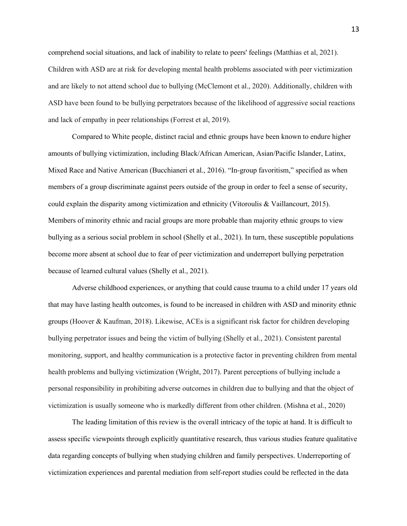comprehend social situations, and lack of inability to relate to peers' feelings (Matthias et al, 2021). Children with ASD are at risk for developing mental health problems associated with peer victimization and are likely to not attend school due to bullying (McClemont et al., 2020). Additionally, children with ASD have been found to be bullying perpetrators because of the likelihood of aggressive social reactions and lack of empathy in peer relationships (Forrest et al, 2019).

Compared to White people, distinct racial and ethnic groups have been known to endure higher amounts of bullying victimization, including Black/African American, Asian/Pacific Islander, Latinx, Mixed Race and Native American (Bucchianeri et al., 2016). "In-group favoritism," specified as when members of a group discriminate against peers outside of the group in order to feel a sense of security, could explain the disparity among victimization and ethnicity (Vitoroulis & Vaillancourt, 2015). Members of minority ethnic and racial groups are more probable than majority ethnic groups to view bullying as a serious social problem in school (Shelly et al., 2021). In turn, these susceptible populations become more absent at school due to fear of peer victimization and underreport bullying perpetration because of learned cultural values (Shelly et al., 2021).

Adverse childhood experiences, or anything that could cause trauma to a child under 17 years old that may have lasting health outcomes, is found to be increased in children with ASD and minority ethnic groups (Hoover & Kaufman, 2018). Likewise, ACEs is a significant risk factor for children developing bullying perpetrator issues and being the victim of bullying (Shelly et al., 2021). Consistent parental monitoring, support, and healthy communication is a protective factor in preventing children from mental health problems and bullying victimization (Wright, 2017). Parent perceptions of bullying include a personal responsibility in prohibiting adverse outcomes in children due to bullying and that the object of victimization is usually someone who is markedly different from other children. (Mishna et al., 2020)

The leading limitation of this review is the overall intricacy of the topic at hand. It is difficult to assess specific viewpoints through explicitly quantitative research, thus various studies feature qualitative data regarding concepts of bullying when studying children and family perspectives. Underreporting of victimization experiences and parental mediation from self-report studies could be reflected in the data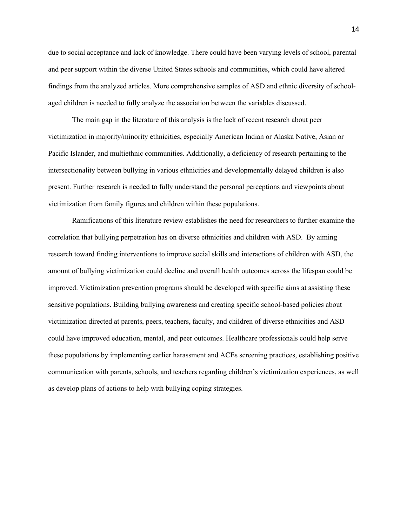due to social acceptance and lack of knowledge. There could have been varying levels of school, parental and peer support within the diverse United States schools and communities, which could have altered findings from the analyzed articles. More comprehensive samples of ASD and ethnic diversity of schoolaged children is needed to fully analyze the association between the variables discussed.

The main gap in the literature of this analysis is the lack of recent research about peer victimization in majority/minority ethnicities, especially American Indian or Alaska Native, Asian or Pacific Islander, and multiethnic communities. Additionally, a deficiency of research pertaining to the intersectionality between bullying in various ethnicities and developmentally delayed children is also present. Further research is needed to fully understand the personal perceptions and viewpoints about victimization from family figures and children within these populations.

Ramifications of this literature review establishes the need for researchers to further examine the correlation that bullying perpetration has on diverse ethnicities and children with ASD. By aiming research toward finding interventions to improve social skills and interactions of children with ASD, the amount of bullying victimization could decline and overall health outcomes across the lifespan could be improved. Victimization prevention programs should be developed with specific aims at assisting these sensitive populations. Building bullying awareness and creating specific school-based policies about victimization directed at parents, peers, teachers, faculty, and children of diverse ethnicities and ASD could have improved education, mental, and peer outcomes. Healthcare professionals could help serve these populations by implementing earlier harassment and ACEs screening practices, establishing positive communication with parents, schools, and teachers regarding children's victimization experiences, as well as develop plans of actions to help with bullying coping strategies.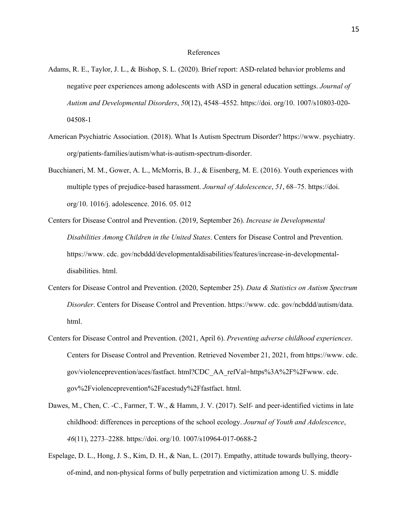#### References

- Adams, R. E., Taylor, J. L., & Bishop, S. L. (2020). Brief report: ASD-related behavior problems and negative peer experiences among adolescents with ASD in general education settings. *Journal of Autism and Developmental Disorders*, *50*(12), 4548–4552. https://doi. org/10. 1007/s10803-020- 04508-1
- American Psychiatric Association. (2018). What Is Autism Spectrum Disorder? https://www. psychiatry. org/patients-families/autism/what-is-autism-spectrum-disorder.
- Bucchianeri, M. M., Gower, A. L., McMorris, B. J., & Eisenberg, M. E. (2016). Youth experiences with multiple types of prejudice-based harassment. *Journal of Adolescence*, *51*, 68–75. https://doi. org/10. 1016/j. adolescence. 2016. 05. 012
- Centers for Disease Control and Prevention. (2019, September 26). *Increase in Developmental Disabilities Among Children in the United States*. Centers for Disease Control and Prevention. https://www. cdc. gov/ncbddd/developmentaldisabilities/features/increase-in-developmentaldisabilities. html.
- Centers for Disease Control and Prevention. (2020, September 25). *Data & Statistics on Autism Spectrum Disorder*. Centers for Disease Control and Prevention. https://www. cdc. gov/ncbddd/autism/data. html.
- Centers for Disease Control and Prevention. (2021, April 6). *Preventing adverse childhood experiences*. Centers for Disease Control and Prevention. Retrieved November 21, 2021, from https://www. cdc. gov/violenceprevention/aces/fastfact. html?CDC\_AA\_refVal=https%3A%2F%2Fwww. cdc. gov%2Fviolenceprevention%2Facestudy%2Ffastfact. html.
- Dawes, M., Chen, C. -C., Farmer, T. W., & Hamm, J. V. (2017). Self- and peer-identified victims in late childhood: differences in perceptions of the school ecology. *Journal of Youth and Adolescence*, *46*(11), 2273–2288. https://doi. org/10. 1007/s10964-017-0688-2
- Espelage, D. L., Hong, J. S., Kim, D. H., & Nan, L. (2017). Empathy, attitude towards bullying, theoryof-mind, and non-physical forms of bully perpetration and victimization among U. S. middle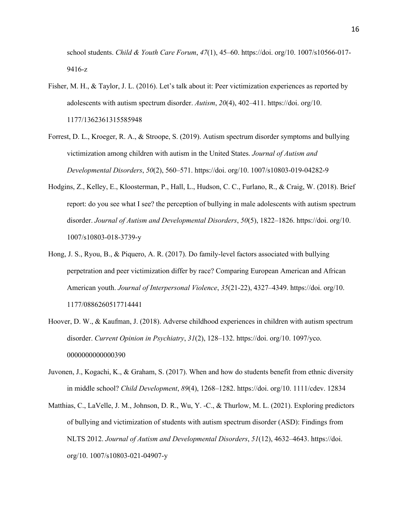school students. *Child & Youth Care Forum*, *47*(1), 45–60. https://doi. org/10. 1007/s10566-017- 9416-z

- Fisher, M. H., & Taylor, J. L. (2016). Let's talk about it: Peer victimization experiences as reported by adolescents with autism spectrum disorder. *Autism*, *20*(4), 402–411. https://doi. org/10. 1177/1362361315585948
- Forrest, D. L., Kroeger, R. A., & Stroope, S. (2019). Autism spectrum disorder symptoms and bullying victimization among children with autism in the United States. *Journal of Autism and Developmental Disorders*, *50*(2), 560–571. https://doi. org/10. 1007/s10803-019-04282-9
- Hodgins, Z., Kelley, E., Kloosterman, P., Hall, L., Hudson, C. C., Furlano, R., & Craig, W. (2018). Brief report: do you see what I see? the perception of bullying in male adolescents with autism spectrum disorder. *Journal of Autism and Developmental Disorders*, *50*(5), 1822–1826. https://doi. org/10. 1007/s10803-018-3739-y
- Hong, J. S., Ryou, B., & Piquero, A. R. (2017). Do family-level factors associated with bullying perpetration and peer victimization differ by race? Comparing European American and African American youth. *Journal of Interpersonal Violence*, *35*(21-22), 4327–4349. https://doi. org/10. 1177/0886260517714441
- Hoover, D. W., & Kaufman, J. (2018). Adverse childhood experiences in children with autism spectrum disorder. *Current Opinion in Psychiatry*, *31*(2), 128–132. https://doi. org/10. 1097/yco. 0000000000000390
- Juvonen, J., Kogachi, K., & Graham, S. (2017). When and how do students benefit from ethnic diversity in middle school? *Child Development*, *89*(4), 1268–1282. https://doi. org/10. 1111/cdev. 12834
- Matthias, C., LaVelle, J. M., Johnson, D. R., Wu, Y. -C., & Thurlow, M. L. (2021). Exploring predictors of bullying and victimization of students with autism spectrum disorder (ASD): Findings from NLTS 2012. *Journal of Autism and Developmental Disorders*, *51*(12), 4632–4643. https://doi. org/10. 1007/s10803-021-04907-y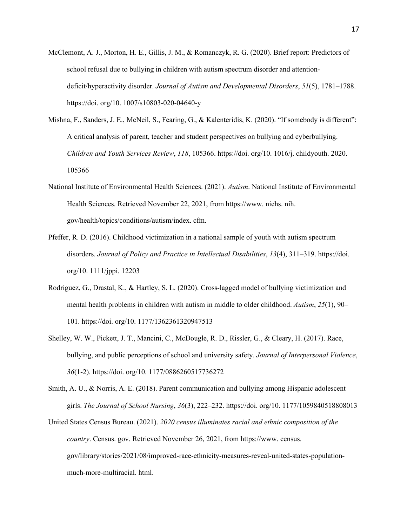- McClemont, A. J., Morton, H. E., Gillis, J. M., & Romanczyk, R. G. (2020). Brief report: Predictors of school refusal due to bullying in children with autism spectrum disorder and attentiondeficit/hyperactivity disorder. *Journal of Autism and Developmental Disorders*, *51*(5), 1781–1788. https://doi. org/10. 1007/s10803-020-04640-y
- Mishna, F., Sanders, J. E., McNeil, S., Fearing, G., & Kalenteridis, K. (2020). "If somebody is different": A critical analysis of parent, teacher and student perspectives on bullying and cyberbullying. *Children and Youth Services Review*, *118*, 105366. https://doi. org/10. 1016/j. childyouth. 2020. 105366
- National Institute of Environmental Health Sciences. (2021). *Autism*. National Institute of Environmental Health Sciences. Retrieved November 22, 2021, from https://www. niehs. nih. gov/health/topics/conditions/autism/index. cfm.
- Pfeffer, R. D. (2016). Childhood victimization in a national sample of youth with autism spectrum disorders. *Journal of Policy and Practice in Intellectual Disabilities*, *13*(4), 311–319. https://doi. org/10. 1111/jppi. 12203
- Rodriguez, G., Drastal, K., & Hartley, S. L. (2020). Cross-lagged model of bullying victimization and mental health problems in children with autism in middle to older childhood. *Autism*, *25*(1), 90– 101. https://doi. org/10. 1177/1362361320947513
- Shelley, W. W., Pickett, J. T., Mancini, C., McDougle, R. D., Rissler, G., & Cleary, H. (2017). Race, bullying, and public perceptions of school and university safety. *Journal of Interpersonal Violence*, *36*(1-2). https://doi. org/10. 1177/0886260517736272
- Smith, A. U., & Norris, A. E. (2018). Parent communication and bullying among Hispanic adolescent girls. *The Journal of School Nursing*, *36*(3), 222–232. https://doi. org/10. 1177/1059840518808013
- United States Census Bureau. (2021). *2020 census illuminates racial and ethnic composition of the country*. Census. gov. Retrieved November 26, 2021, from https://www. census. gov/library/stories/2021/08/improved-race-ethnicity-measures-reveal-united-states-populationmuch-more-multiracial. html.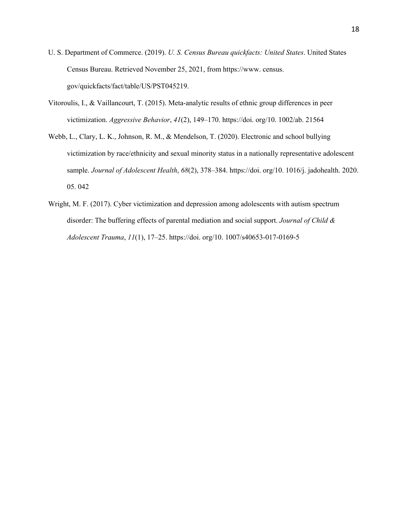- U. S. Department of Commerce. (2019). *U. S. Census Bureau quickfacts: United States*. United States Census Bureau. Retrieved November 25, 2021, from https://www. census. gov/quickfacts/fact/table/US/PST045219.
- Vitoroulis, I., & Vaillancourt, T. (2015). Meta-analytic results of ethnic group differences in peer victimization. *Aggressive Behavior*, *41*(2), 149–170. https://doi. org/10. 1002/ab. 21564
- Webb, L., Clary, L. K., Johnson, R. M., & Mendelson, T. (2020). Electronic and school bullying victimization by race/ethnicity and sexual minority status in a nationally representative adolescent sample. *Journal of Adolescent Health*, *68*(2), 378–384. https://doi. org/10. 1016/j. jadohealth. 2020. 05. 042
- Wright, M. F. (2017). Cyber victimization and depression among adolescents with autism spectrum disorder: The buffering effects of parental mediation and social support. *Journal of Child & Adolescent Trauma*, *11*(1), 17–25. https://doi. org/10. 1007/s40653-017-0169-5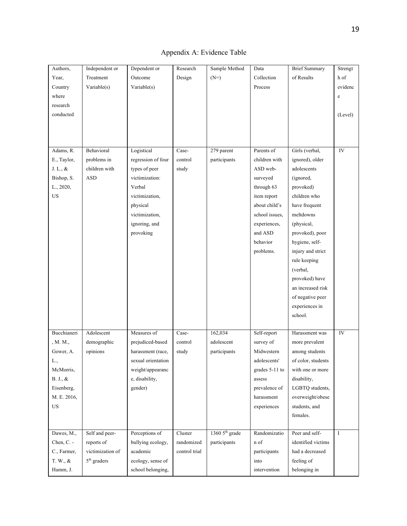| Authors,               | Independent or   | Dependent or       | Research      | Sample Method    | Data           | <b>Brief Summary</b> | Strengt    |
|------------------------|------------------|--------------------|---------------|------------------|----------------|----------------------|------------|
| Year,                  | Treatment        | Outcome            | Design        | $(N=)$           | Collection     | of Results           | h of       |
| Country                | Variable(s)      | Variable(s)        |               |                  | Process        |                      | evidenc    |
| where                  |                  |                    |               |                  |                |                      | e          |
| research               |                  |                    |               |                  |                |                      |            |
| conducted              |                  |                    |               |                  |                |                      | (Level)    |
|                        |                  |                    |               |                  |                |                      |            |
|                        |                  |                    |               |                  |                |                      |            |
|                        |                  |                    |               |                  |                |                      |            |
| Adams, R.              | Behavioral       | Logistical         | Case-         | 279 parent       | Parents of     | Girls (verbal,       | ${\rm IV}$ |
| E., Taylor,            | problems in      | regression of four | control       | participants     | children with  | ignored), older      |            |
| J. L., &               | children with    | types of peer      | study         |                  | ASD web-       | adolescents          |            |
| Bishop, S.             | <b>ASD</b>       | victimization:     |               |                  | surveyed       | (ignored,            |            |
| L., 2020,              |                  | Verbal             |               |                  | through 63     | provoked)            |            |
| US                     |                  | victimization,     |               |                  | item report    | children who         |            |
|                        |                  | physical           |               |                  | about child's  | have frequent        |            |
|                        |                  | victimization,     |               |                  | school issues. | meltdowns            |            |
|                        |                  | ignoring, and      |               |                  | experiences,   | (physical,           |            |
|                        |                  | provoking          |               |                  | and ASD        | provoked), poor      |            |
|                        |                  |                    |               |                  | behavior       | hygiene, self-       |            |
|                        |                  |                    |               |                  | problems.      | injury and strict    |            |
|                        |                  |                    |               |                  |                | rule keeping         |            |
|                        |                  |                    |               |                  |                | (verbal,             |            |
|                        |                  |                    |               |                  |                | provoked) have       |            |
|                        |                  |                    |               |                  |                | an increased risk    |            |
|                        |                  |                    |               |                  |                | of negative peer     |            |
|                        |                  |                    |               |                  |                | experiences in       |            |
|                        |                  |                    |               |                  |                | school.              |            |
|                        |                  |                    |               |                  |                |                      |            |
| Bucchianeri            | Adolescent       | Measures of        | Case-         | 162,034          | Self-report    | Harassment was       | IV         |
| , M. $\mathbf{M}$ ,    | demographic      | prejudiced-based   | control       | adolescent       | survey of      | more prevalent       |            |
| Gower, A.              | opinions         | harassment (race,  | study         | participants     | Midwestern     | among students       |            |
| L.,                    |                  | sexual orientation |               |                  | adolescents'   | of color, students   |            |
| McMorris,              |                  | weight/appearanc   |               |                  | grades 5-11 to | with one or more     |            |
| $\mathrm{B.}$ J., $\&$ |                  | e, disability,     |               |                  | assess         | disability,          |            |
| Eisenberg,             |                  | gender)            |               |                  | prevalence of  | LGBTQ students,      |            |
| M. E. 2016,            |                  |                    |               |                  | harassment     | overweight/obese     |            |
| US                     |                  |                    |               |                  | experiences    | students, and        |            |
|                        |                  |                    |               |                  |                | females.             |            |
|                        |                  |                    |               |                  |                |                      |            |
| Dawes, M.,             | Self and peer-   | Perceptions of     | Cluster       | 1360 $5th$ grade | Randomizatio   | Peer and self-       | I          |
| Chen, C. -             | reports of       | bullying ecology,  | randomized    | participants     | n of           | identified victims   |            |
| C., Farmer,            | victimization of | academic           | control trial |                  | participants   | had a decreased      |            |
| T. W., &               | $5th$ graders    | ecology, sense of  |               |                  | into           | feeling of           |            |
| Hamm, J.               |                  | school belonging,  |               |                  | intervention   | belonging in         |            |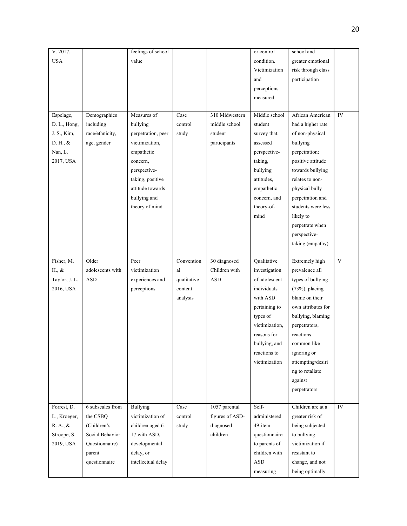| V. 2017,      |                  | feelings of school |             |                 | or control     | school and         |             |
|---------------|------------------|--------------------|-------------|-----------------|----------------|--------------------|-------------|
| <b>USA</b>    |                  | value              |             |                 | condition.     | greater emotional  |             |
|               |                  |                    |             |                 | Victimization  | risk through class |             |
|               |                  |                    |             |                 | and            | participation      |             |
|               |                  |                    |             |                 | perceptions    |                    |             |
|               |                  |                    |             |                 | measured       |                    |             |
|               |                  |                    |             |                 |                |                    |             |
| Espelage,     | Demographics     | Measures of        | Case        | 310 Midwestern  | Middle school  | African American   | IV          |
| D. L., Hong,  | including        | bullying           | control     | middle school   | student        | had a higher rate  |             |
| J. S., Kim,   | race/ethnicity,  | perpetration, peer | study       | student         | survey that    | of non-physical    |             |
| D. H., &      | age, gender      | victimization,     |             | participants    | assessed       | bullying           |             |
| Nan, L.       |                  | empathetic         |             |                 | perspective-   | perpetration;      |             |
| 2017, USA     |                  | concern,           |             |                 | taking,        | positive attitude  |             |
|               |                  | perspective-       |             |                 | bullying       | towards bullying   |             |
|               |                  | taking, positive   |             |                 | attitudes,     | relates to non-    |             |
|               |                  | attitude towards   |             |                 | empathetic     | physical bully     |             |
|               |                  | bullying and       |             |                 | concern, and   | perpetration and   |             |
|               |                  | theory of mind     |             |                 | theory-of-     | students were less |             |
|               |                  |                    |             |                 | mind           | likely to          |             |
|               |                  |                    |             |                 |                | perpetrate when    |             |
|               |                  |                    |             |                 |                | perspective-       |             |
|               |                  |                    |             |                 |                | taking (empathy)   |             |
|               |                  |                    |             |                 |                |                    |             |
| Fisher, M.    | Older            | Peer               | Convention  | 30 diagnosed    | Qualitative    | Extremely high     | $\mathbf V$ |
| H., &         | adolescents with | victimization      | al          | Children with   | investigation  | prevalence all     |             |
| Taylor, J. L. | <b>ASD</b>       | experiences and    | qualitative | <b>ASD</b>      | of adolescent  | types of bullying  |             |
| 2016, USA     |                  | perceptions        | content     |                 | individuals    | $(73%)$ , placing  |             |
|               |                  |                    | analysis    |                 | with ASD       | blame on their     |             |
|               |                  |                    |             |                 | pertaining to  | own attributes for |             |
|               |                  |                    |             |                 | types of       | bullying, blaming  |             |
|               |                  |                    |             |                 | victimization, | perpetrators,      |             |
|               |                  |                    |             |                 | reasons for    | reactions          |             |
|               |                  |                    |             |                 | bullying, and  | common like        |             |
|               |                  |                    |             |                 | reactions to   | ignoring or        |             |
|               |                  |                    |             |                 | victimization  | attempting/desiri  |             |
|               |                  |                    |             |                 |                | ng to retaliate    |             |
|               |                  |                    |             |                 |                | against            |             |
|               |                  |                    |             |                 |                | perpetrators       |             |
|               |                  |                    |             |                 |                |                    |             |
| Forrest, D.   | 6 subscales from | Bullying           | Case        | 1057 parental   | Self-          | Children are at a  | ${\rm IV}$  |
| L., Kroeger,  | the CSBQ         | victimization of   | control     | figures of ASD- | administered   | greater risk of    |             |
| R. A., &      | (Children's      | children aged 6-   | study       | diagnosed       | 49-item        | being subjected    |             |
| Stroope, S.   | Social Behavior  | 17 with ASD,       |             | children        | questionnaire  | to bullying        |             |
| 2019, USA     | Questionnaire)   | developmental      |             |                 | to parents of  | victimization if   |             |
|               | parent           | delay, or          |             |                 | children with  | resistant to       |             |
|               | questionnaire    | intellectual delay |             |                 | ASD            | change, and not    |             |
|               |                  |                    |             |                 | measuring      | being optimally    |             |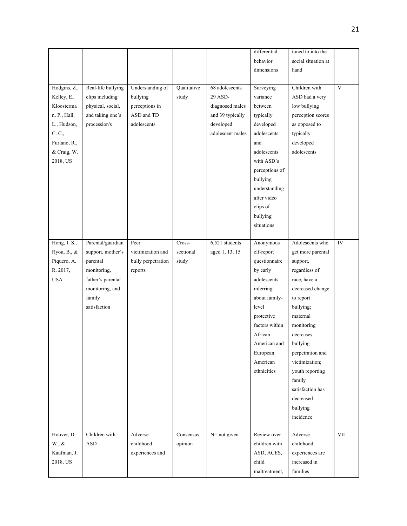|                 |                    |                    |             |                  | differential   | tuned to into the   |             |
|-----------------|--------------------|--------------------|-------------|------------------|----------------|---------------------|-------------|
|                 |                    |                    |             |                  | behavior       | social situation at |             |
|                 |                    |                    |             |                  | dimensions     | hand                |             |
|                 |                    |                    |             |                  |                |                     |             |
| Hodgins, Z.,    | Real-life bullying | Understanding of   | Qualitative | 68 adolescents.  | Surveying      | Children with       | $\mathbf V$ |
| Kelley, E.,     | clips including    | bullying           | study       | 29 ASD-          | variance       | ASD had a very      |             |
| Kloosterma      | physical, social,  | perceptions in     |             | diagnosed males  | between        | low bullying        |             |
| n, P., Hall,    | and taking one's   | ASD and TD         |             | and 39 typically | typically      | perception scores   |             |
| L., Hudson,     | procession's       | adolescents        |             | developed        | developed      | as opposed to       |             |
| C. C.,          |                    |                    |             | adolescent males | adolescents    | typically           |             |
| Furlano, R.,    |                    |                    |             |                  | and            | developed           |             |
|                 |                    |                    |             |                  |                | adolescents         |             |
| & Craig, W.     |                    |                    |             |                  | adolescents    |                     |             |
| 2018, US        |                    |                    |             |                  | with ASD's     |                     |             |
|                 |                    |                    |             |                  | perceptions of |                     |             |
|                 |                    |                    |             |                  | bullying       |                     |             |
|                 |                    |                    |             |                  | understanding  |                     |             |
|                 |                    |                    |             |                  | after video    |                     |             |
|                 |                    |                    |             |                  | clips of       |                     |             |
|                 |                    |                    |             |                  | bullying       |                     |             |
|                 |                    |                    |             |                  | situations     |                     |             |
|                 |                    |                    |             |                  |                |                     |             |
| Hong, J. S.,    | Parental/guardian  | Peer               | Cross-      | $6,521$ students | Anonymous      | Adolescents who     | IV          |
| Ryou, B., &     | support, mother's  | victimization and  | sectional   | aged 1, 13, 15   | elf-report     | get more parental   |             |
| Piquero, A.     | parental           | bully perpetration | study       |                  | questionnaire  | support,            |             |
| R. 2017,        | monitoring,        | reports            |             |                  | by early       | regardless of       |             |
| <b>USA</b>      | father's parental  |                    |             |                  | adolescents    | race, have a        |             |
|                 | monitoring, and    |                    |             |                  | inferring      | decreased change    |             |
|                 | family             |                    |             |                  | about family-  | to report           |             |
|                 | satisfaction       |                    |             |                  | level          | bullying;           |             |
|                 |                    |                    |             |                  | protective     | maternal            |             |
|                 |                    |                    |             |                  | factors within | monitoring          |             |
|                 |                    |                    |             |                  | African        | decreases           |             |
|                 |                    |                    |             |                  |                |                     |             |
|                 |                    |                    |             |                  | American and   | bullying            |             |
|                 |                    |                    |             |                  | European       | perpetration and    |             |
|                 |                    |                    |             |                  | American       | victimization;      |             |
|                 |                    |                    |             |                  | ethnicities    | youth reporting     |             |
|                 |                    |                    |             |                  |                | family              |             |
|                 |                    |                    |             |                  |                | satisfaction has    |             |
|                 |                    |                    |             |                  |                | decreased           |             |
|                 |                    |                    |             |                  |                | bullying            |             |
|                 |                    |                    |             |                  |                | incidence           |             |
|                 |                    |                    |             |                  |                |                     |             |
| Hoover, D.      | Children with      | Adverse            | Consensus   | $N = not given$  | Review over    | Adverse             | VII         |
| $W_{\cdot}, \&$ | <b>ASD</b>         | childhood          | opinion     |                  | children with  | childhood           |             |
| Kaufman, J.     |                    | experiences and    |             |                  | ASD, ACES,     | experiences are     |             |
| 2018, US        |                    |                    |             |                  | child          | increased in        |             |
|                 |                    |                    |             |                  | maltreatment,  | families            |             |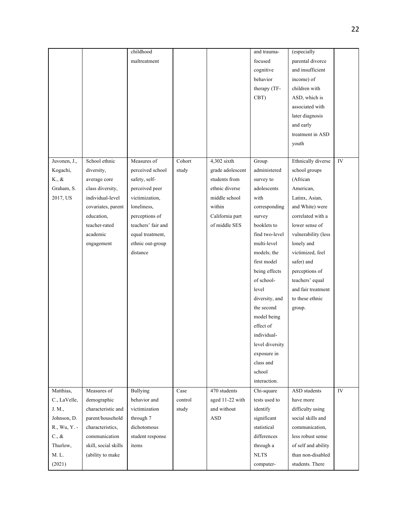|              |                      | childhood          |         |                  | and trauma-                  | (especially         |            |
|--------------|----------------------|--------------------|---------|------------------|------------------------------|---------------------|------------|
|              |                      | maltreatment       |         |                  | focused                      | parental divorce    |            |
|              |                      |                    |         |                  | cognitive                    | and insufficient    |            |
|              |                      |                    |         |                  | behavior                     | income) of          |            |
|              |                      |                    |         |                  | therapy (TF-                 | children with       |            |
|              |                      |                    |         |                  | CBT)                         | ASD, which is       |            |
|              |                      |                    |         |                  |                              | associated with     |            |
|              |                      |                    |         |                  |                              | later diagnosis     |            |
|              |                      |                    |         |                  |                              | and early           |            |
|              |                      |                    |         |                  |                              | treatment in ASD    |            |
|              |                      |                    |         |                  |                              | youth               |            |
|              |                      |                    |         |                  |                              |                     |            |
| Juvonen, J., | School ethnic        | Measures of        | Cohort  | 4,302 sixth      | Group                        | Ethnically diverse  | ${\rm IV}$ |
| Kogachi,     | diversity,           | perceived school   | study   | grade adolescent | administered                 | school groups       |            |
| K., &        | average core         | safety, self-      |         | students from    | survey to                    | (African            |            |
| Graham, S.   | class diversity,     | perceived peer     |         | ethnic diverse   | adolescents                  | American,           |            |
| 2017, US     | individual-level     | victimization,     |         | middle school    | with                         | Latinx, Asian,      |            |
|              | covariates, parent   | loneliness,        |         | within           | corresponding                | and White) were     |            |
|              | education.           | perceptions of     |         | California part  | survey                       | correlated with a   |            |
|              | teacher-rated        | teachers' fair and |         | of middle SES    | booklets to                  | lower sense of      |            |
|              | academic             | equal treatment,   |         |                  | find two-level               | vulnerability (less |            |
|              | engagement           | ethnic out-group   |         |                  | multi-level                  | lonely and          |            |
|              |                      | distance           |         |                  | models; the                  | victimized, feel    |            |
|              |                      |                    |         |                  | first model                  | safer) and          |            |
|              |                      |                    |         |                  | being effects                | perceptions of      |            |
|              |                      |                    |         |                  | of school-                   | teachers' equal     |            |
|              |                      |                    |         |                  | level                        | and fair treatment  |            |
|              |                      |                    |         |                  |                              | to these ethnic     |            |
|              |                      |                    |         |                  | diversity, and<br>the second |                     |            |
|              |                      |                    |         |                  |                              | group.              |            |
|              |                      |                    |         |                  | model being                  |                     |            |
|              |                      |                    |         |                  | effect of                    |                     |            |
|              |                      |                    |         |                  | individual-                  |                     |            |
|              |                      |                    |         |                  | level diversity              |                     |            |
|              |                      |                    |         |                  | exposure in                  |                     |            |
|              |                      |                    |         |                  | class and                    |                     |            |
|              |                      |                    |         |                  | school                       |                     |            |
|              |                      |                    |         |                  | interaction.                 |                     |            |
| Matthias,    | Measures of          | Bullying           | Case    | 470 students     | Chi-square                   | ASD students        | IV         |
| C., LaVelle, | demographic          | behavior and       | control | aged 11-22 with  | tests used to                | have more           |            |
| J. M.,       | characteristic and   | victimization      | study   | and without      | identify                     | difficulty using    |            |
| Johnson, D.  | parent/household     | through 7          |         | <b>ASD</b>       | significant                  | social skills and   |            |
| R., Wu, Y. - | characteristics,     | dichotomous        |         |                  | statistical                  | communication,      |            |
| C., &        | communication        | student response   |         |                  | differences                  | less robust sense   |            |
| Thurlow,     | skill, social skills | items              |         |                  | through a                    | of self and ability |            |
| M. L.        | (ability to make     |                    |         |                  | $\rm NLTS$                   | than non-disabled   |            |
| (2021)       |                      |                    |         |                  | computer-                    | students. There     |            |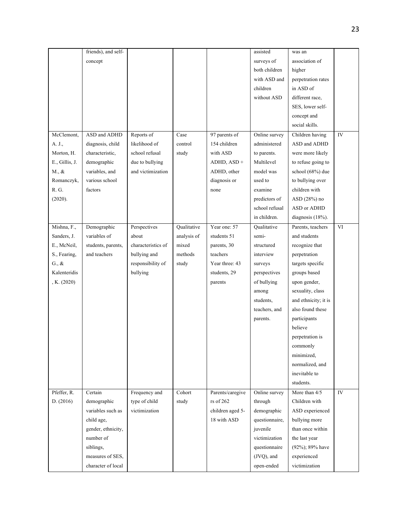|                 | friends), and self- |                    |             |                  | assisted          | was an               |    |
|-----------------|---------------------|--------------------|-------------|------------------|-------------------|----------------------|----|
|                 | concept             |                    |             |                  | surveys of        | association of       |    |
|                 |                     |                    |             |                  | both children     | higher               |    |
|                 |                     |                    |             |                  | with ASD and      | perpetration rates   |    |
|                 |                     |                    |             |                  | children          | in ASD of            |    |
|                 |                     |                    |             |                  | without ASD       | different race,      |    |
|                 |                     |                    |             |                  |                   | SES, lower self-     |    |
|                 |                     |                    |             |                  |                   | concept and          |    |
|                 |                     |                    |             |                  |                   | social skills.       |    |
| McClemont.      | ASD and ADHD        | Reports of         | Case        | 97 parents of    | Online survey     | Children having      | IV |
| A. J.,          | diagnosis, child    | likelihood of      | control     | 154 children     | administered      | ASD and ADHD         |    |
| Morton, H.      | characteristic,     | school refusal     | study       | with ASD         | to parents.       | were more likely     |    |
| E., Gillis, J.  | demographic         | due to bullying    |             | $ADHD$ , $ASD +$ | Multilevel        | to refuse going to   |    |
| M., &           | variables, and      | and victimization  |             | ADHD, other      | model was         | school (68%) due     |    |
| Romanczyk,      | various school      |                    |             | diagnosis or     | used to           | to bullying over     |    |
| R. G.           | factors             |                    |             | none             | examine           | children with        |    |
| (2020).         |                     |                    |             |                  | predictors of     | ASD (28%) no         |    |
|                 |                     |                    |             |                  | school refusal    | ASD or ADHD          |    |
|                 |                     |                    |             |                  | in children.      | diagnosis (18%).     |    |
|                 |                     |                    |             |                  |                   |                      |    |
| Mishna, F.,     | Demographic         | Perspectives       | Qualitative | Year one: 57     | Qualitative       | Parents, teachers    | VI |
| Sanders, J.     | variables of        | about              | analysis of | students 51      | semi-             | and students         |    |
| E., McNeil,     | students, parents,  | characteristics of | mixed       | parents, 30      | structured        | recognize that       |    |
| S., Fearing,    | and teachers        | bullying and       | methods     | teachers         | interview         | perpetration         |    |
| $G_{\cdot}, \&$ |                     | responsibility of  | study       | Year three: 43   | surveys           | targets specific     |    |
| Kalenteridis    |                     | bullying           |             | students, 29     | perspectives      | groups based         |    |
| ,K. (2020)      |                     |                    |             | parents          | of bullying       | upon gender,         |    |
|                 |                     |                    |             |                  | among             | sexuality, class     |    |
|                 |                     |                    |             |                  | students,         | and ethnicity; it is |    |
|                 |                     |                    |             |                  | teachers, and     | also found these     |    |
|                 |                     |                    |             |                  | parents.          | participants         |    |
|                 |                     |                    |             |                  |                   | believe              |    |
|                 |                     |                    |             |                  |                   | perpetration is      |    |
|                 |                     |                    |             |                  |                   | commonly             |    |
|                 |                     |                    |             |                  |                   | minimized,           |    |
|                 |                     |                    |             |                  |                   | normalized, and      |    |
|                 |                     |                    |             |                  |                   | inevitable to        |    |
|                 |                     |                    |             |                  |                   | students.            |    |
| Pfeffer, R.     | Certain             | Frequency and      | Cohort      | Parents/caregive | Online survey     | More than 4/5        | IV |
| D. (2016)       | demographic         | type of child      | study       | $rs$ of 262      | through           | Children with        |    |
|                 | variables such as   | victimization      |             | children aged 5- | demographic       | ASD experienced      |    |
|                 | child age,          |                    |             | 18 with ASD      | questionnaire,    | bullying more        |    |
|                 | gender, ethnicity,  |                    |             |                  | juvenile          | than once within     |    |
|                 | number of           |                    |             |                  | victimization     | the last year        |    |
|                 | siblings,           |                    |             |                  | questionnaire     | (92%); 89% have      |    |
|                 | measures of SES,    |                    |             |                  | $($ JVQ $)$ , and | experienced          |    |
|                 | character of local  |                    |             |                  | open-ended        | victimization        |    |
|                 |                     |                    |             |                  |                   |                      |    |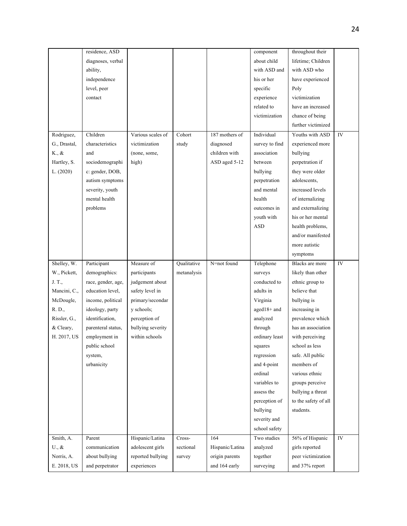|                           | residence, ASD     |                   |             |                                 | component      | throughout their                     |            |
|---------------------------|--------------------|-------------------|-------------|---------------------------------|----------------|--------------------------------------|------------|
|                           | diagnoses, verbal  |                   |             |                                 | about child    | lifetime; Children                   |            |
|                           | ability,           |                   |             |                                 | with ASD and   | with ASD who                         |            |
|                           | independence       |                   |             |                                 | his or her     | have experienced                     |            |
|                           | level, peer        |                   |             |                                 | specific       | Poly                                 |            |
|                           | contact            |                   |             |                                 | experience     | victimization                        |            |
|                           |                    |                   |             |                                 | related to     | have an increased                    |            |
|                           |                    |                   |             |                                 | victimization  | chance of being                      |            |
|                           |                    |                   |             |                                 |                | further victimized                   |            |
| Rodriguez,                | Children           | Various scales of | Cohort      | 187 mothers of                  | Individual     | Youths with ASD                      | IV         |
| G., Drastal,              | characteristics    | victimization     | study       | diagnosed                       | survey to find | experienced more                     |            |
| K., &                     | and                | (none, some,      |             | children with                   | association    | bullying                             |            |
| Hartley, S.               | sociodemographi    | high)             |             | ASD aged 5-12                   | between        | perpetration if                      |            |
| L. (2020)                 | c: gender, DOB,    |                   |             |                                 | bullying       | they were older                      |            |
|                           | autism symptoms    |                   |             |                                 | perpetration   | adolescents,                         |            |
|                           | severity, youth    |                   |             |                                 | and mental     | increased levels                     |            |
|                           | mental health      |                   |             |                                 | health         | of internalizing                     |            |
|                           | problems           |                   |             |                                 | outcomes in    | and externalizing                    |            |
|                           |                    |                   |             |                                 | youth with     | his or her mental                    |            |
|                           |                    |                   |             |                                 | <b>ASD</b>     | health problems,                     |            |
|                           |                    |                   |             |                                 |                | and/or manifested                    |            |
|                           |                    |                   |             |                                 |                | more autistic                        |            |
|                           |                    |                   |             |                                 |                |                                      |            |
|                           |                    |                   |             |                                 |                | symptoms                             |            |
|                           |                    |                   |             |                                 |                |                                      |            |
| Shelley, W.               | Participant        | Measure of        | Qualitative | N=not found                     | Telephone      | Blacks are more                      | ${\rm IV}$ |
| W., Pickett,              | demographics:      | participants      | metanalysis |                                 | surveys        | likely than other                    |            |
| J. T.,                    | race, gender, age, | judgement about   |             |                                 | conducted to   | ethnic group to                      |            |
| Mancini, C.,              | education level,   | safety level in   |             |                                 | adults in      | believe that                         |            |
| McDougle,                 | income, political  | primary/secondar  |             |                                 | Virginia       | bullying is                          |            |
| R. D.,                    | ideology, party    | y schools;        |             |                                 | aged18+ and    | increasing in                        |            |
| Rissler, G.,              | identification,    | perception of     |             |                                 | analyzed       | prevalence which                     |            |
| & Cleary,                 | parenteral status, | bullying severity |             |                                 | through        | has an association                   |            |
| H. 2017, US               | employment in      | within schools    |             |                                 | ordinary least | with perceiving                      |            |
|                           | public school      |                   |             |                                 | squares        | school as less                       |            |
|                           | system,            |                   |             |                                 | regression     | safe. All public                     |            |
|                           | urbanicity         |                   |             |                                 | and 4-point    | members of                           |            |
|                           |                    |                   |             |                                 | ordinal        | various ethnic                       |            |
|                           |                    |                   |             |                                 | variables to   | groups perceive                      |            |
|                           |                    |                   |             |                                 | assess the     | bullying a threat                    |            |
|                           |                    |                   |             |                                 | perception of  | to the safety of all                 |            |
|                           |                    |                   |             |                                 | bullying       | students.                            |            |
|                           |                    |                   |             |                                 | severity and   |                                      |            |
|                           |                    |                   |             |                                 | school safety  |                                      |            |
| Smith, A.                 | Parent             | Hispanic/Latina   | Cross-      | 164                             | Two studies    | 56% of Hispanic                      | ${\rm IV}$ |
| $U_{\cdot}, \&$           | communication      | adolescent girls  | sectional   | Hispanic/Latina                 | analyzed       | girls reported                       |            |
| Norris, A.<br>E. 2018, US | about bullying     | reported bullying | survey      | origin parents<br>and 164 early | together       | peer victimization<br>and 37% report |            |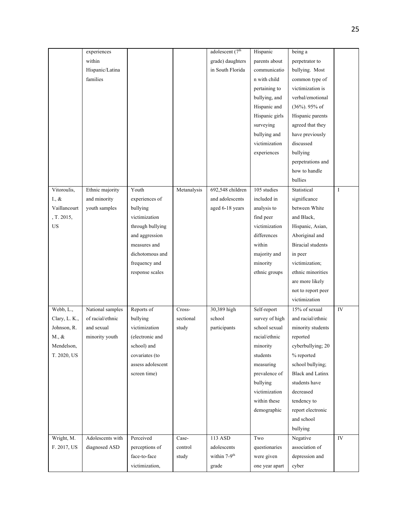|               | experiences      |                   |             | adolescent (7 <sup>th</sup> | Hispanic       | being a                  |                     |
|---------------|------------------|-------------------|-------------|-----------------------------|----------------|--------------------------|---------------------|
|               | within           |                   |             | grade) daughters            | parents about  | perpetrator to           |                     |
|               | Hispanic/Latina  |                   |             | in South Florida            | communicatio   | bullying. Most           |                     |
|               | families         |                   |             |                             | n with child   | common type of           |                     |
|               |                  |                   |             |                             | pertaining to  | victimization is         |                     |
|               |                  |                   |             |                             | bullying, and  | verbal/emotional         |                     |
|               |                  |                   |             |                             | Hispanic and   | $(36\%)$ . 95% of        |                     |
|               |                  |                   |             |                             | Hispanic girls | Hispanic parents         |                     |
|               |                  |                   |             |                             | surveying      | agreed that they         |                     |
|               |                  |                   |             |                             | bullying and   | have previously          |                     |
|               |                  |                   |             |                             | victimization  | discussed                |                     |
|               |                  |                   |             |                             | experiences    | bullying                 |                     |
|               |                  |                   |             |                             |                | perpetrations and        |                     |
|               |                  |                   |             |                             |                | how to handle            |                     |
|               |                  |                   |             |                             |                | bullies                  |                     |
| Vitoroulis,   | Ethnic majority  | Youth             | Metanalysis | 692,548 children            | 105 studies    | Statistical              | $\rm I$             |
| I., &         | and minority     | experiences of    |             | and adolescents             | included in    | significance             |                     |
| Vaillancourt  | youth samples    | bullying          |             | aged 6-18 years             | analysis to    | between White            |                     |
| , T. 2015,    |                  | victimization     |             |                             | find peer      | and Black,               |                     |
| $_{\rm US}$   |                  | through bullying  |             |                             | victimization  | Hispanic, Asian,         |                     |
|               |                  | and aggression    |             |                             | differences    | Aboriginal and           |                     |
|               |                  | measures and      |             |                             | within         | <b>Biracial</b> students |                     |
|               |                  |                   |             |                             |                |                          |                     |
|               |                  | dichotomous and   |             |                             | majority and   | in peer                  |                     |
|               |                  | frequency and     |             |                             | minority       | victimization;           |                     |
|               |                  | response scales   |             |                             | ethnic groups  | ethnic minorities        |                     |
|               |                  |                   |             |                             |                | are more likely          |                     |
|               |                  |                   |             |                             |                | not to report peer       |                     |
|               |                  |                   |             |                             |                | victimization            |                     |
| Webb, L.,     | National samples | Reports of        | Cross-      | 30,389 high                 | Self-report    | 15% of sexual            | ${\rm IV}$          |
| Clary, L. K., | of racial/ethnic | bullying          | sectional   | school                      | survey of high | and racial/ethnic        |                     |
| Johnson, R.   | and sexual       | victimization     | study       | participants                | school sexual  | minority students        |                     |
| M., &         | minority youth   | (electronic and   |             |                             | racial/ethnic  | reported                 |                     |
| Mendelson,    |                  | school) and       |             |                             | minority       | cyberbullying; 20        |                     |
| T. 2020, US   |                  | covariates (to    |             |                             | students       | % reported               |                     |
|               |                  | assess adolescent |             |                             | measuring      | school bullying;         |                     |
|               |                  | screen time)      |             |                             | prevalence of  | <b>Black and Latinx</b>  |                     |
|               |                  |                   |             |                             | bullying       | students have            |                     |
|               |                  |                   |             |                             | victimization  | decreased                |                     |
|               |                  |                   |             |                             | within these   | tendency to              |                     |
|               |                  |                   |             |                             | demographic    | report electronic        |                     |
|               |                  |                   |             |                             |                | and school               |                     |
|               |                  |                   |             |                             |                | bullying                 |                     |
| Wright, M.    | Adolescents with | Perceived         | Case-       | 113 ASD                     | Two            | Negative                 | $\overline{\rm IV}$ |
| F. 2017, US   | diagnosed ASD    | perceptions of    | control     | adolescents                 | questionaries  | association of           |                     |
|               |                  | face-to-face      | study       | within 7-9 <sup>th</sup>    | were given     | depression and           |                     |
|               |                  | victimization,    |             | grade                       | one year apart | cyber                    |                     |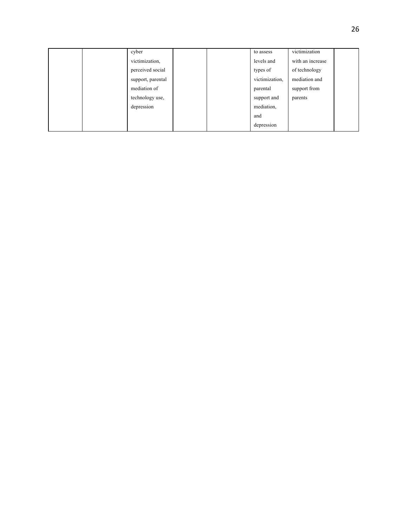|  | cyber             |  | to assess      | victimization    |  |
|--|-------------------|--|----------------|------------------|--|
|  | victimization,    |  | levels and     | with an increase |  |
|  | perceived social  |  | types of       | of technology    |  |
|  | support, parental |  | victimization, | mediation and    |  |
|  | mediation of      |  | parental       | support from     |  |
|  | technology use,   |  | support and    | parents          |  |
|  | depression        |  | mediation,     |                  |  |
|  |                   |  | and            |                  |  |
|  |                   |  | depression     |                  |  |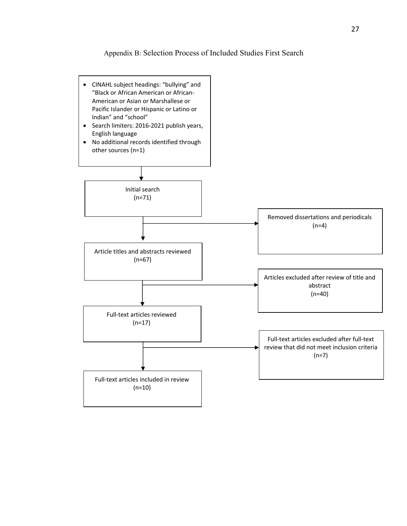Appendix B: Selection Process of Included Studies First Search